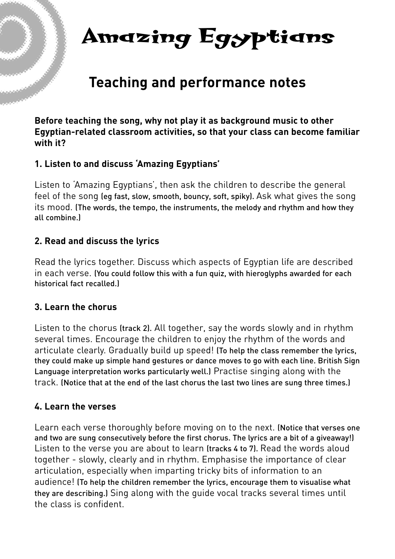# **Amazing Egyptians**

# **Teaching and performance notes**

**Before teaching the song, why not play it as background music to other Egyptian-related classroom activities, so that your class can become familiar with it?**

#### **1. Listen to and discuss 'Amazing Egyptians'**

Listen to 'Amazing Egyptians', then ask the children to describe the general feel of the song (eg fast, slow, smooth, bouncy, soft, spiky). Ask what gives the song its mood. (The words, the tempo, the instruments, the melody and rhythm and how they all combine.)

#### **2. Read and discuss the lyrics**

Read the lyrics together. Discuss which aspects of Egyptian life are described in each verse. (You could follow this with a fun quiz, with hieroglyphs awarded for each historical fact recalled.)

#### **3. Learn the chorus**

Listen to the chorus (track 2). All together, say the words slowly and in rhythm several times. Encourage the children to enjoy the rhythm of the words and articulate clearly. Gradually build up speed! (To help the class remember the lyrics, they could make up simple hand gestures or dance moves to go with each line. British Sign Language interpretation works particularly well.) Practise singing along with the track. (Notice that at the end of the last chorus the last two lines are sung three times.)

### **4. Learn the verses**

Learn each verse thoroughly before moving on to the next. (Notice that verses one and two are sung consecutively before the first chorus. The lyrics are a bit of a giveaway!) Listen to the verse you are about to learn (tracks 4 to 7). Read the words aloud together - slowly, clearly and in rhythm. Emphasise the importance of clear articulation, especially when imparting tricky bits of information to an audience! (To help the children remember the lyrics, encourage them to visualise what they are describing.) Sing along with the guide vocal tracks several times until the class is confident.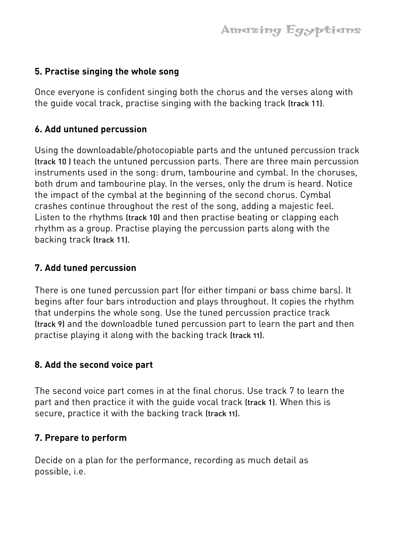## **5. Practise singing the whole song**

Once everyone is confident singing both the chorus and the verses along with the guide vocal track, practise singing with the backing track (track 11).

### **6. Add untuned percussion**

Using the downloadable/photocopiable parts and the untuned percussion track (track 10 ) teach the untuned percussion parts. There are three main percussion instruments used in the song: drum, tambourine and cymbal. In the choruses, both drum and tambourine play. In the verses, only the drum is heard. Notice the impact of the cymbal at the beginning of the second chorus. Cymbal crashes continue throughout the rest of the song, adding a majestic feel. Listen to the rhythms (track 10) and then practise beating or clapping each rhythm as a group. Practise playing the percussion parts along with the backing track (track 11).

# **7. Add tuned percussion**

There is one tuned percussion part (for either timpani or bass chime bars). It begins after four bars introduction and plays throughout. It copies the rhythm that underpins the whole song. Use the tuned percussion practice track (track 9) and the downloadble tuned percussion part to learn the part and then practise playing it along with the backing track (track 11).

### **8. Add the second voice part**

The second voice part comes in at the final chorus. Use track 7 to learn the part and then practice it with the guide vocal track (track 1). When this is secure, practice it with the backing track (track 11).

### **7. Prepare to perform**

Decide on a plan for the performance, recording as much detail as possible, i.e.